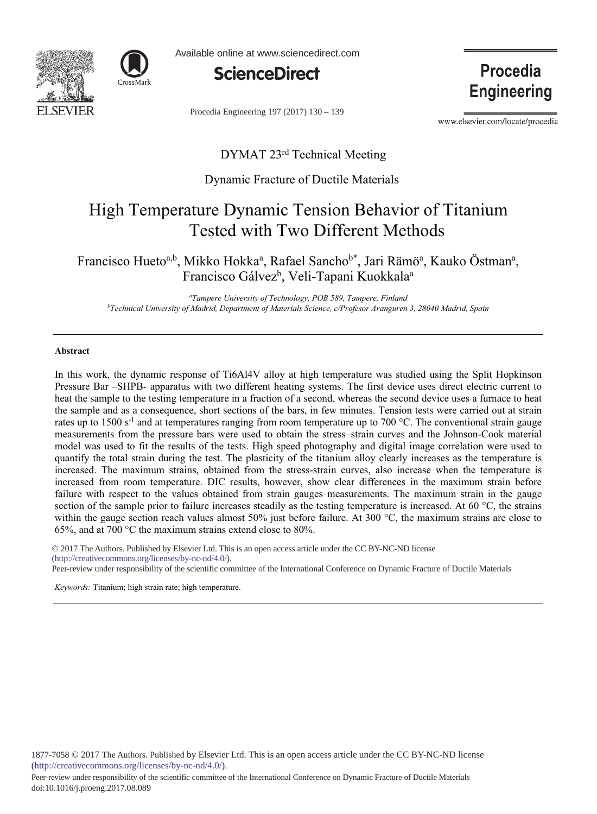



Available online at www.sciencedirect.com



Procedia Engineering 197 (2017) 130 - 139

Procedia **Engineering** 

www.elsevier.com/locate/procedia

# DYMAT 23<sup>rd</sup> Technical Meeting

# Dynamic Fracture of Ductile Materials

# High Temperature Dynamic Tension Behavior of Titanium **Tested with Two Different Methods**

Francisco Hueto<sup>a,b</sup>, Mikko Hokka<sup>a</sup>, Rafael Sancho<sup>b\*</sup>, Jari Rämö<sup>a</sup>, Kauko Östman<sup>a</sup>, Francisco Gálvez<sup>b</sup>, Veli-Tapani Kuokkala<sup>a</sup>

<sup>a</sup>Tampere University of Technology, POB 589, Tampere, Finland <sup>b</sup>Technical University of Madrid, Department of Materials Science, c/Profesor Aranguren 3, 28040 Madrid, Spain

# Abstract

In this work, the dynamic response of Ti6Al4V alloy at high temperature was studied using the Split Hopkinson Pressure Bar -SHPB- apparatus with two different heating systems. The first device uses direct electric current to heat the sample to the testing temperature in a fraction of a second, whereas the second device uses a furnace to heat the sample and as a consequence, short sections of the bars, in few minutes. Tension tests were carried out at strain rates up to 1500 s<sup>-1</sup> and at temperatures ranging from room temperature up to 700 °C. The conventional strain gauge measurements from the pressure bars were used to obtain the stress-strain curves and the Johnson-Cook material model was used to fit the results of the tests. High speed photography and digital image correlation were used to quantify the total strain during the test. The plasticity of the titanium alloy clearly increases as the temperature is increased. The maximum strains, obtained from the stress-strain curves, also increase when the temperature is increased from room temperature. DIC results, however, show clear differences in the maximum strain before failure with respect to the values obtained from strain gauges measurements. The maximum strain in the gauge section of the sample prior to failure increases steadily as the testing temperature is increased. At 60  $^{\circ}$ C, the strains within the gauge section reach values almost 50% just before failure. At 300  $^{\circ}$ C, the maximum strains are close to 65%, and at 700 °C the maximum strains extend close to 80%.

© 2017 The Authors. Published by Elsevier Ltd. This is an open access article under the CC BY-NC-ND license (http://creativecommons.org/licenses/by-nc-nd/4.0/). Peer-review under responsibility of the scientific committee of the International Conference on Dynamic Fracture of Ductile Materials

Keywords: Titanium; high strain rate; high temperature.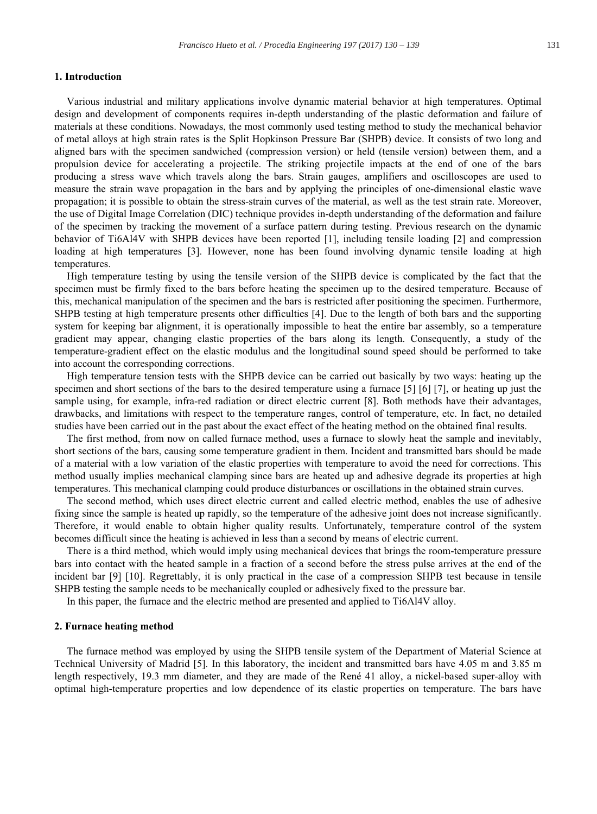# 1. Introduction

Various industrial and military applications involve dynamic material behavior at high temperatures. Optimal design and development of components requires in-depth understanding of the plastic deformation and failure of materials at these conditions. Nowadays, the most commonly used testing method to study the mechanical behavior of metal alloys at high strain rates is the Split Hopkinson Pressure Bar (SHPB) device. It consists of two long and aligned bars with the specimen sandwiched (compression version) or held (tensile version) between them, and a propulsion device for accelerating a projectile. The striking projectile impacts at the end of one of the bars producing a stress wave which travels along the bars. Strain gauges, amplifiers and oscilloscopes are used to measure the strain wave propagation in the bars and by applying the principles of one-dimensional elastic wave propagation; it is possible to obtain the stress-strain curves of the material, as well as the test strain rate. Moreover, the use of Digital Image Correlation (DIC) technique provides in-depth understanding of the deformation and failure of the specimen by tracking the movement of a surface pattern during testing. Previous research on the dynamic behavior of Ti6Al4V with SHPB devices have been reported [1], including tensile loading [2] and compression loading at high temperatures [3]. However, none has been found involving dynamic tensile loading at high temperatures.

High temperature testing by using the tensile version of the SHPB device is complicated by the fact that the specimen must be firmly fixed to the bars before heating the specimen up to the desired temperature. Because of this, mechanical manipulation of the specimen and the bars is restricted after positioning the specimen. Furthermore, SHPB testing at high temperature presents other difficulties [4]. Due to the length of both bars and the supporting system for keeping bar alignment, it is operationally impossible to heat the entire bar assembly, so a temperature gradient may appear, changing elastic properties of the bars along its length. Consequently, a study of the temperature-gradient effect on the elastic modulus and the longitudinal sound speed should be performed to take into account the corresponding corrections.

High temperature tension tests with the SHPB device can be carried out basically by two ways: heating up the specimen and short sections of the bars to the desired temperature using a furnace [5] [6] [7], or heating up just the sample using, for example, infra-red radiation or direct electric current [8]. Both methods have their advantages, drawbacks, and limitations with respect to the temperature ranges, control of temperature, etc. In fact, no detailed studies have been carried out in the past about the exact effect of the heating method on the obtained final results.

The first method, from now on called furnace method, uses a furnace to slowly heat the sample and inevitably, short sections of the bars, causing some temperature gradient in them. Incident and transmitted bars should be made of a material with a low variation of the elastic properties with temperature to avoid the need for corrections. This method usually implies mechanical clamping since bars are heated up and adhesive degrade its properties at high temperatures. This mechanical clamping could produce disturbances or oscillations in the obtained strain curves.

The second method, which uses direct electric current and called electric method, enables the use of adhesive fixing since the sample is heated up rapidly, so the temperature of the adhesive joint does not increase significantly. Therefore, it would enable to obtain higher quality results. Unfortunately, temperature control of the system becomes difficult since the heating is achieved in less than a second by means of electric current.

There is a third method, which would imply using mechanical devices that brings the room-temperature pressure bars into contact with the heated sample in a fraction of a second before the stress pulse arrives at the end of the incident bar [9] [10]. Regrettably, it is only practical in the case of a compression SHPB test because in tensile SHPB testing the sample needs to be mechanically coupled or adhesively fixed to the pressure bar.

In this paper, the furnace and the electric method are presented and applied to Ti6Al4V alloy.

#### 2. Furnace heating method

The furnace method was employed by using the SHPB tensile system of the Department of Material Science at Technical University of Madrid [5]. In this laboratory, the incident and transmitted bars have 4.05 m and 3.85 m length respectively, 19.3 mm diameter, and they are made of the René 41 alloy, a nickel-based super-alloy with optimal high-temperature properties and low dependence of its elastic properties on temperature. The bars have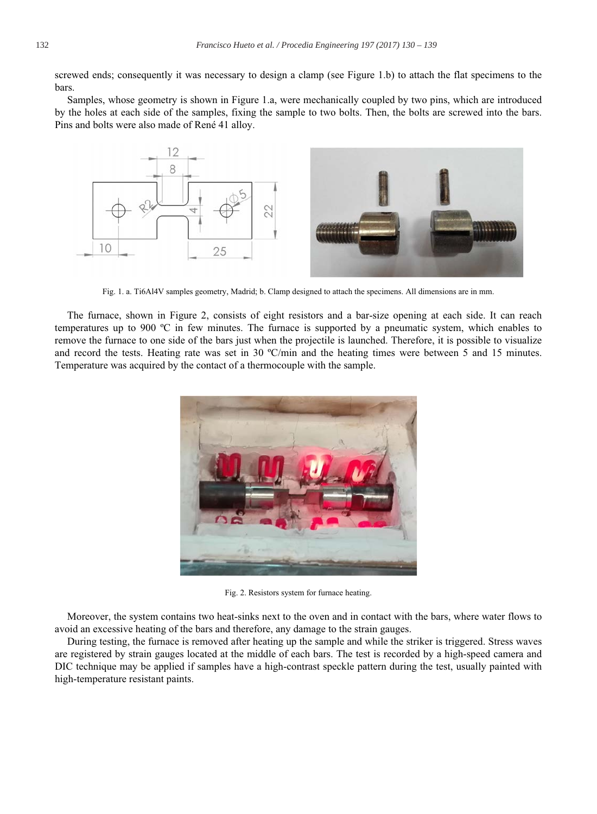screwed ends; consequently it was necessary to design a clamp (see Figure 1.b) to attach the flat specimens to the hars

Samples, whose geometry is shown in Figure 1.a, were mechanically coupled by two pins, which are introduced by the holes at each side of the samples, fixing the sample to two bolts. Then, the bolts are screwed into the bars. Pins and bolts were also made of René 41 alloy.



Fig. 1. a. Ti6Al4V samples geometry, Madrid; b. Clamp designed to attach the specimens. All dimensions are in mm.

The furnace, shown in Figure 2, consists of eight resistors and a bar-size opening at each side. It can reach temperatures up to 900  $^{\circ}$ C in few minutes. The furnace is supported by a pneumatic system, which enables to remove the furnace to one side of the bars just when the projectile is launched. Therefore, it is possible to visualize and record the tests. Heating rate was set in 30 °C/min and the heating times were between 5 and 15 minutes. Temperature was acquired by the contact of a thermocouple with the sample.



Fig. 2. Resistors system for furnace heating.

Moreover, the system contains two heat-sinks next to the oven and in contact with the bars, where water flows to avoid an excessive heating of the bars and therefore, any damage to the strain gauges.

During testing, the furnace is removed after heating up the sample and while the striker is triggered. Stress waves are registered by strain gauges located at the middle of each bars. The test is recorded by a high-speed camera and DIC technique may be applied if samples have a high-contrast speckle pattern during the test, usually painted with high-temperature resistant paints.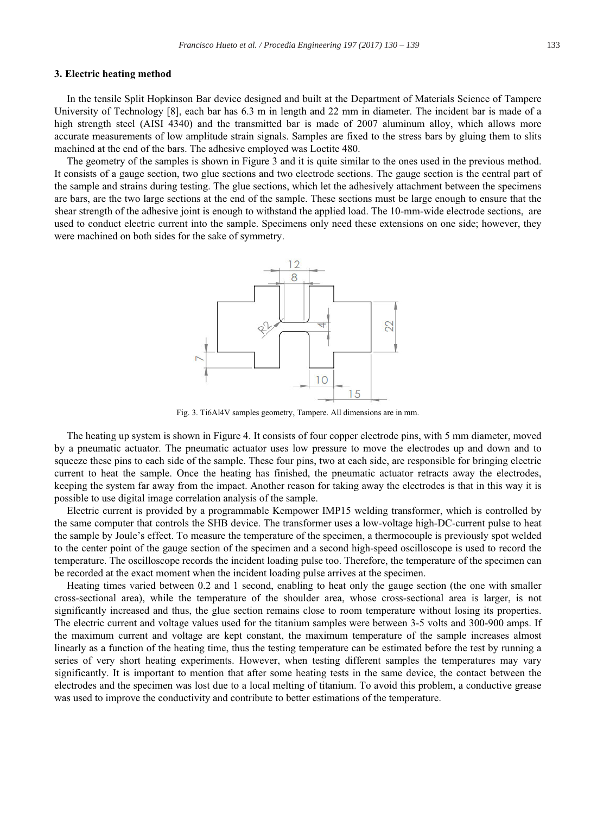#### 3. Electric heating method

In the tensile Split Hopkinson Bar device designed and built at the Department of Materials Science of Tampere University of Technology [8], each bar has 6.3 m in length and 22 mm in diameter. The incident bar is made of a high strength steel (AISI 4340) and the transmitted bar is made of 2007 aluminum alloy, which allows more accurate measurements of low amplitude strain signals. Samples are fixed to the stress bars by gluing them to slits machined at the end of the bars. The adhesive employed was Loctite 480.

The geometry of the samples is shown in Figure 3 and it is quite similar to the ones used in the previous method. It consists of a gauge section, two glue sections and two electrode sections. The gauge section is the central part of the sample and strains during testing. The glue sections, which let the adhesively attachment between the specimens are bars, are the two large sections at the end of the sample. These sections must be large enough to ensure that the shear strength of the adhesive joint is enough to withstand the applied load. The 10-mm-wide electrode sections, are used to conduct electric current into the sample. Specimens only need these extensions on one side; however, they were machined on both sides for the sake of symmetry.



Fig. 3. Ti6Al4V samples geometry, Tampere. All dimensions are in mm.

The heating up system is shown in Figure 4. It consists of four copper electrode pins, with 5 mm diameter, moved by a pneumatic actuator. The pneumatic actuator uses low pressure to move the electrodes up and down and to squeeze these pins to each side of the sample. These four pins, two at each side, are responsible for bringing electric current to heat the sample. Once the heating has finished, the pneumatic actuator retracts away the electrodes, keeping the system far away from the impact. Another reason for taking away the electrodes is that in this way it is possible to use digital image correlation analysis of the sample.

Electric current is provided by a programmable Kempower IMP15 welding transformer, which is controlled by the same computer that controls the SHB device. The transformer uses a low-voltage high-DC-current pulse to heat the sample by Joule's effect. To measure the temperature of the specimen, a thermocouple is previously spot welded to the center point of the gauge section of the specimen and a second high-speed oscilloscope is used to record the temperature. The oscilloscope records the incident loading pulse too. Therefore, the temperature of the specimen can be recorded at the exact moment when the incident loading pulse arrives at the specimen.

Heating times varied between 0.2 and 1 second, enabling to heat only the gauge section (the one with smaller cross-sectional area), while the temperature of the shoulder area, whose cross-sectional area is larger, is not significantly increased and thus, the glue section remains close to room temperature without losing its properties. The electric current and voltage values used for the titanium samples were between 3-5 volts and 300-900 amps. If the maximum current and voltage are kept constant, the maximum temperature of the sample increases almost linearly as a function of the heating time, thus the testing temperature can be estimated before the test by running a series of very short heating experiments. However, when testing different samples the temperatures may vary significantly. It is important to mention that after some heating tests in the same device, the contact between the electrodes and the specimen was lost due to a local melting of titanium. To avoid this problem, a conductive grease was used to improve the conductivity and contribute to better estimations of the temperature.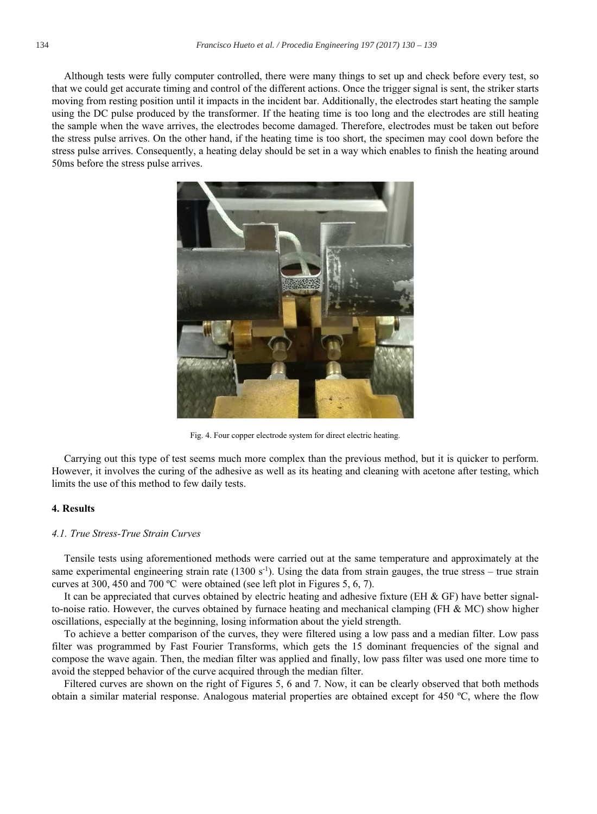Although tests were fully computer controlled, there were many things to set up and check before every test, so that we could get accurate timing and control of the different actions. Once the trigger signal is sent, the striker starts moving from resting position until it impacts in the incident bar. Additionally, the electrodes start heating the sample using the DC pulse produced by the transformer. If the heating time is too long and the electrodes are still heating the sample when the wave arrives, the electrodes become damaged. Therefore, electrodes must be taken out before the stress pulse arrives. On the other hand, if the heating time is too short, the specimen may cool down before the stress pulse arrives. Consequently, a heating delay should be set in a way which enables to finish the heating around 50ms before the stress pulse arrives.



Fig. 4. Four copper electrode system for direct electric heating.

Carrying out this type of test seems much more complex than the previous method, but it is quicker to perform. However, it involves the curing of the adhesive as well as its heating and cleaning with acetone after testing, which limits the use of this method to few daily tests.

# **4. Results**

#### 4.1. True Stress-True Strain Curves

Tensile tests using aforementioned methods were carried out at the same temperature and approximately at the same experimental engineering strain rate (1300 s<sup>-1</sup>). Using the data from strain gauges, the true stress – true strain curves at 300, 450 and 700 °C were obtained (see left plot in Figures 5, 6, 7).

It can be appreciated that curves obtained by electric heating and adhesive fixture (EH & GF) have better signalto-noise ratio. However, the curves obtained by furnace heating and mechanical clamping (FH  $\&$  MC) show higher oscillations, especially at the beginning, losing information about the yield strength.

To achieve a better comparison of the curves, they were filtered using a low pass and a median filter. Low pass filter was programmed by Fast Fourier Transforms, which gets the 15 dominant frequencies of the signal and compose the wave again. Then, the median filter was applied and finally, low pass filter was used one more time to avoid the stepped behavior of the curve acquired through the median filter.

Filtered curves are shown on the right of Figures 5, 6 and 7. Now, it can be clearly observed that both methods obtain a similar material response. Analogous material properties are obtained except for 450  $^{\circ}$ C, where the flow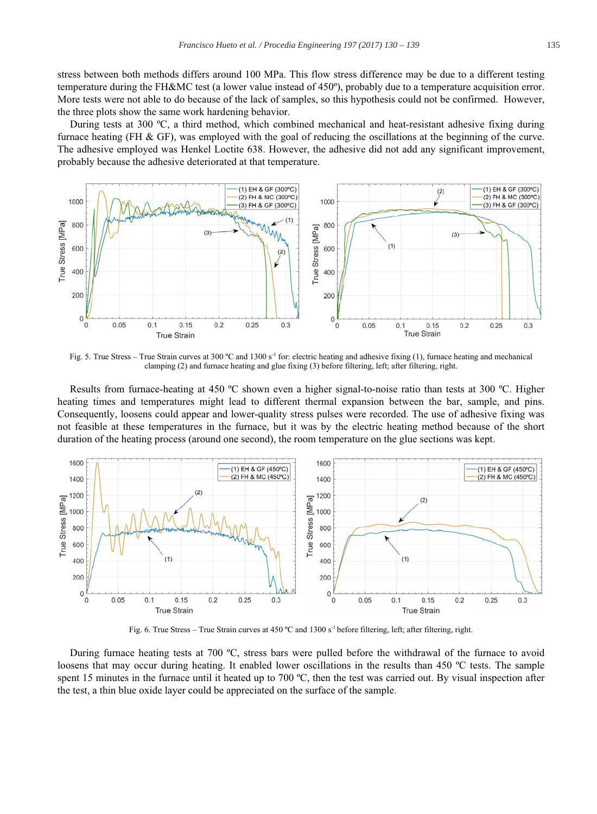stress between both methods differs around 100 MPa. This flow stress difference may be due to a different testing temperature during the FH&MC test (a lower value instead of 450°), probably due to a temperature acquisition error. More tests were not able to do because of the lack of samples, so this hypothesis could not be confirmed. However, the three plots show the same work hardening behavior.

During tests at 300 °C, a third method, which combined mechanical and heat-resistant adhesive fixing during furnace heating (FH  $\&$  GF), was employed with the goal of reducing the oscillations at the beginning of the curve. The adhesive employed was Henkel Loctite 638. However, the adhesive did not add any significant improvement, probably because the adhesive deteriorated at that temperature.



Fig. 5. True Stress – True Strain curves at 300 °C and 1300 s<sup>-1</sup> for: electric heating and adhesive fixing (1), furnace heating and mechanical clamping (2) and furnace heating and glue fixing (3) before filtering, left; after filtering, right.

Results from furnace-heating at 450 °C shown even a higher signal-to-noise ratio than tests at 300 °C. Higher heating times and temperatures might lead to different thermal expansion between the bar, sample, and pins. Consequently, loosens could appear and lower-quality stress pulses were recorded. The use of adhesive fixing was not feasible at these temperatures in the furnace, but it was by the electric heating method because of the short duration of the heating process (around one second), the room temperature on the glue sections was kept.



Fig. 6. True Stress - True Strain curves at 450 °C and 1300 s<sup>-1</sup> before filtering, left; after filtering, right.

During furnace heating tests at 700 °C, stress bars were pulled before the withdrawal of the furnace to avoid loosens that may occur during heating. It enabled lower oscillations in the results than 450 °C tests. The sample spent 15 minutes in the furnace until it heated up to 700 °C, then the test was carried out. By visual inspection after the test, a thin blue oxide layer could be appreciated on the surface of the sample.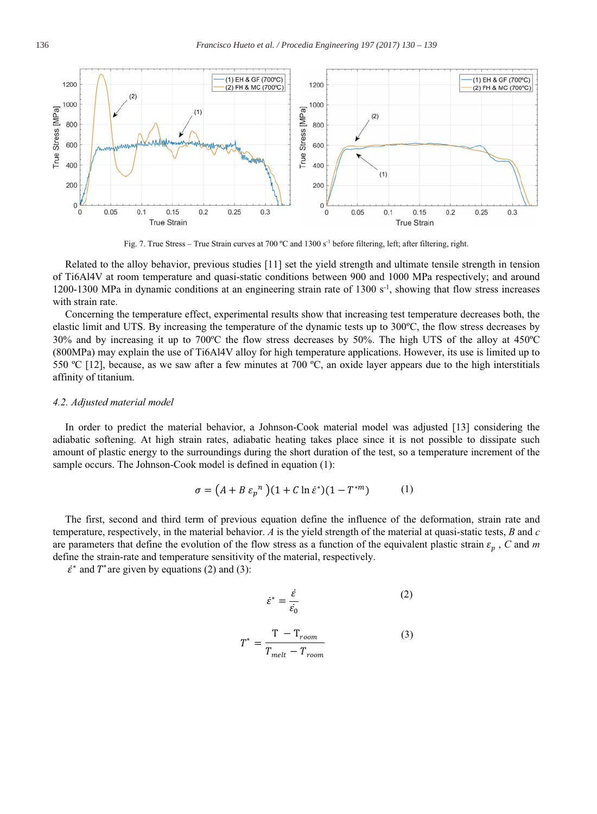

Fig. 7. True Stress - True Strain curves at 700 °C and 1300 s<sup>-1</sup> before filtering, left; after filtering, right.

Related to the alloy behavior, previous studies [11] set the yield strength and ultimate tensile strength in tension of Ti6Al4V at room temperature and quasi-static conditions between 900 and 1000 MPa respectively; and around 1200-1300 MPa in dynamic conditions at an engineering strain rate of 1300  $s^{-1}$ , showing that flow stress increases with strain rate.

Concerning the temperature effect, experimental results show that increasing test temperature decreases both, the elastic limit and UTS. By increasing the temperature of the dynamic tests up to 300°C, the flow stress decreases by 30% and by increasing it up to 700°C the flow stress decreases by 50%. The high UTS of the alloy at 450°C (800MPa) may explain the use of Ti6Al4V alloy for high temperature applications. However, its use is limited up to 550 °C [12], because, as we saw after a few minutes at 700 °C, an oxide layer appears due to the high interstitials affinity of titanium.

## 4.2. Adjusted material model

In order to predict the material behavior, a Johnson-Cook material model was adjusted [13] considering the adiabatic softening. At high strain rates, adiabatic heating takes place since it is not possible to dissipate such amount of plastic energy to the surroundings during the short duration of the test, so a temperature increment of the sample occurs. The Johnson-Cook model is defined in equation (1):

$$
\sigma = (A + B \varepsilon_p^{\ n}) (1 + C \ln \dot{\varepsilon}^*)(1 - T^{*m}) \tag{1}
$$

The first, second and third term of previous equation define the influence of the deformation, strain rate and temperature, respectively, in the material behavior. A is the yield strength of the material at quasi-static tests,  $B$  and  $c$ are parameters that define the evolution of the flow stress as a function of the equivalent plastic strain  $\varepsilon_n$ , C and m define the strain-rate and temperature sensitivity of the material, respectively.

 $\dot{\varepsilon}^*$  and T<sup>\*</sup> are given by equations (2) and (3):

$$
\dot{\varepsilon}^* = \frac{\dot{\varepsilon}}{\dot{\varepsilon}_0} \tag{2}
$$

$$
T^* = \frac{T - T_{room}}{T_{melt} - T_{room}}
$$
 (3)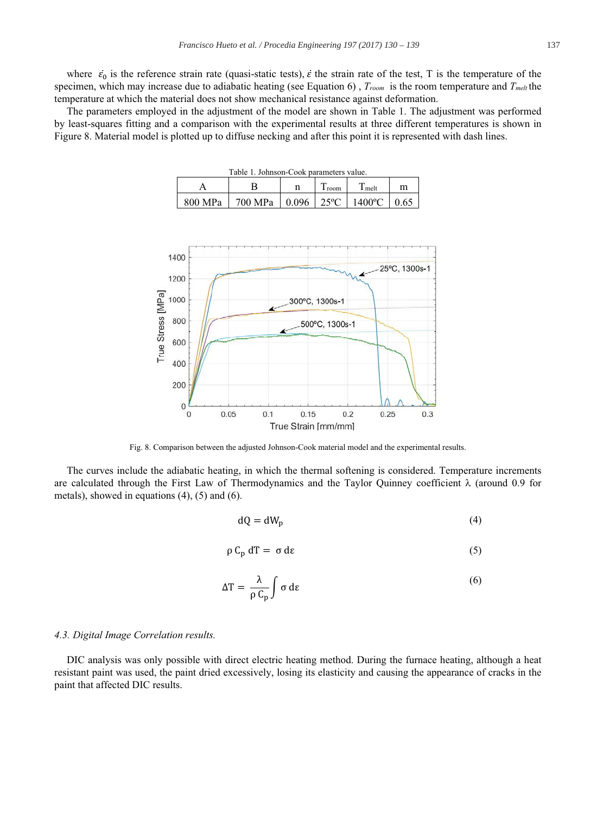where  $\dot{\epsilon}_0$  is the reference strain rate (quasi-static tests),  $\dot{\epsilon}$  the strain rate of the test, T is the temperature of the specimen, which may increase due to adiabatic heating (see Equation 6),  $T_{room}$  is the room temperature and  $T_{melt}$  the temperature at which the material does not show mechanical resistance against deformation.

The parameters employed in the adjustment of the model are shown in Table 1. The adjustment was performed by least-squares fitting and a comparison with the experimental results at three different temperatures is shown in Figure 8. Material model is plotted up to diffuse necking and after this point it is represented with dash lines.

| Table 1. Johnson-Cook parameters value. |                                   |  |        |                   |      |
|-----------------------------------------|-----------------------------------|--|--------|-------------------|------|
|                                         |                                   |  | 1 room | T <sub>melt</sub> |      |
| 800 MPa                                 | 700 MPa   0.096   25 °C   1400 °C |  |        |                   | 0.65 |



Fig. 8. Comparison between the adjusted Johnson-Cook material model and the experimental results.

The curves include the adiabatic heating, in which the thermal softening is considered. Temperature increments are calculated through the First Law of Thermodynamics and the Taylor Ouinney coefficient  $\lambda$  (around 0.9 for metals), showed in equations  $(4)$ ,  $(5)$  and  $(6)$ .

$$
dQ = dW_p \tag{4}
$$

$$
\rho C_p dT = \sigma d\varepsilon \tag{5}
$$

$$
\Delta T = \frac{\lambda}{\rho C_{\rm p}} \int \sigma \, d\epsilon \tag{6}
$$

#### 4.3. Digital Image Correlation results.

DIC analysis was only possible with direct electric heating method. During the furnace heating, although a heat resistant paint was used, the paint dried excessively, losing its elasticity and causing the appearance of cracks in the paint that affected DIC results.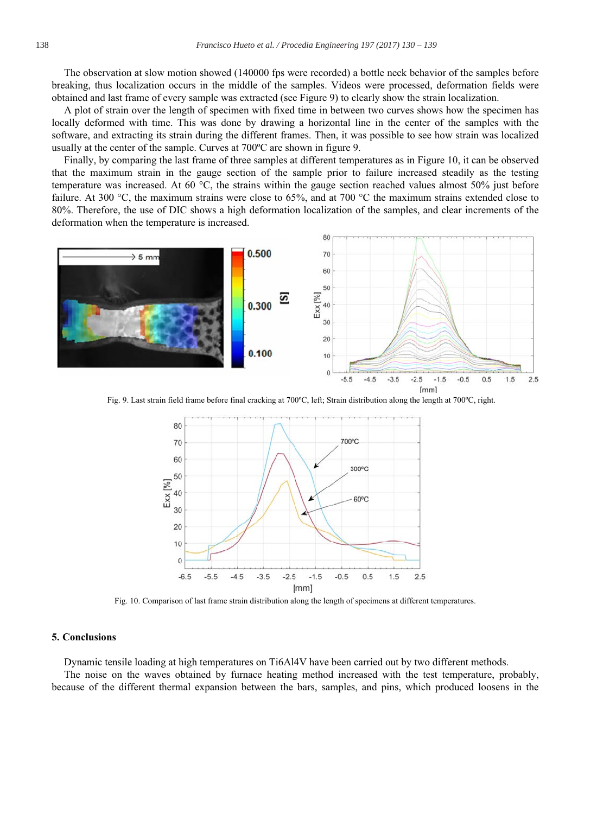The observation at slow motion showed (140000 fps were recorded) a bottle neck behavior of the samples before breaking, thus localization occurs in the middle of the samples. Videos were processed, deformation fields were obtained and last frame of every sample was extracted (see Figure 9) to clearly show the strain localization.

A plot of strain over the length of specimen with fixed time in between two curves shows how the specimen has locally deformed with time. This was done by drawing a horizontal line in the center of the samples with the software, and extracting its strain during the different frames. Then, it was possible to see how strain was localized usually at the center of the sample. Curves at 700 °C are shown in figure 9.

Finally, by comparing the last frame of three samples at different temperatures as in Figure 10, it can be observed that the maximum strain in the gauge section of the sample prior to failure increased steadily as the testing temperature was increased. At 60  $^{\circ}$ C, the strains within the gauge section reached values almost 50% just before failure. At 300 °C, the maximum strains were close to 65%, and at 700 °C the maximum strains extended close to 80%. Therefore, the use of DIC shows a high deformation localization of the samples, and clear increments of the deformation when the temperature is increased.



Fig. 9. Last strain field frame before final cracking at 700°C, left; Strain distribution along the length at 700°C, right.



Fig. 10. Comparison of last frame strain distribution along the length of specimens at different temperatures.

#### **5. Conclusions**

Dynamic tensile loading at high temperatures on Ti6Al4V have been carried out by two different methods. The noise on the waves obtained by furnace heating method increased with the test temperature, probably, because of the different thermal expansion between the bars, samples, and pins, which produced loosens in the